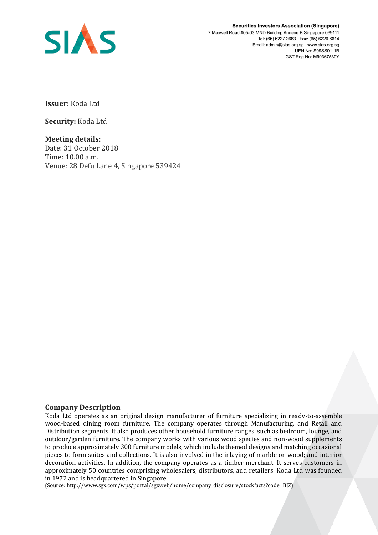

**Securities Investors Association (Singapore)** 7 Maxwell Road #05-03 MND Building Annexe B Singapore 069111 Tel: (65) 6227 2683 Fax: (65) 6220 6614 Email: admin@sias.org.sg www.sias.org.sg **UEN No: S99SS0111B** GST Reg No: M90367530Y

**Issuer:** Koda Ltd

**Security:** Koda Ltd

**Meeting details:**  Date: 31 October 2018 Time: 10.00 a.m. Venue: 28 Defu Lane 4, Singapore 539424

## **Company Description**

Koda Ltd operates as an original design manufacturer of furniture specializing in ready-to-assemble wood-based dining room furniture. The company operates through Manufacturing, and Retail and Distribution segments. It also produces other household furniture ranges, such as bedroom, lounge, and outdoor/garden furniture. The company works with various wood species and non-wood supplements to produce approximately 300 furniture models, which include themed designs and matching occasional pieces to form suites and collections. It is also involved in the inlaying of marble on wood; and interior decoration activities. In addition, the company operates as a timber merchant. It serves customers in approximately 50 countries comprising wholesalers, distributors, and retailers. Koda Ltd was founded in 1972 and is headquartered in Singapore.

(Source: http://www.sgx.com/wps/portal/sgxweb/home/company\_disclosure/stockfacts?code=BJZ)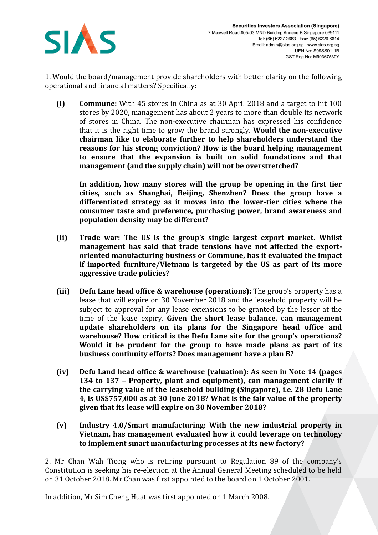

1. Would the board/management provide shareholders with better clarity on the following operational and financial matters? Specifically:

**(i) Commune:** With 45 stores in China as at 30 April 2018 and a target to hit 100 stores by 2020, management has about 2 years to more than double its network of stores in China. The non-executive chairman has expressed his confidence that it is the right time to grow the brand strongly. **Would the non-executive chairman like to elaborate further to help shareholders understand the reasons for his strong conviction? How is the board helping management to ensure that the expansion is built on solid foundations and that management (and the supply chain) will not be overstretched?** 

**In addition, how many stores will the group be opening in the first tier cities, such as Shanghai, Beijing, Shenzhen? Does the group have a differentiated strategy as it moves into the lower-tier cities where the consumer taste and preference, purchasing power, brand awareness and population density may be different?** 

- **(ii) Trade war: The US is the group's single largest export market. Whilst management has said that trade tensions have not affected the exportoriented manufacturing business or Commune, has it evaluated the impact if imported furniture/Vietnam is targeted by the US as part of its more aggressive trade policies?**
- **(iii) Defu Lane head office & warehouse (operations):** The group's property has a lease that will expire on 30 November 2018 and the leasehold property will be subject to approval for any lease extensions to be granted by the lessor at the time of the lease expiry. **Given the short lease balance, can management update shareholders on its plans for the Singapore head office and warehouse? How critical is the Defu Lane site for the group's operations? Would it be prudent for the group to have made plans as part of its business continuity efforts? Does management have a plan B?**
- **(iv) Defu Land head office & warehouse (valuation): As seen in Note 14 (pages 134 to 137 – Property, plant and equipment), can management clarify if the carrying value of the leasehold building (Singapore), i.e. 28 Defu Lane 4, is US\$757,000 as at 30 June 2018? What is the fair value of the property given that its lease will expire on 30 November 2018?**
- **(v) Industry 4.0/Smart manufacturing: With the new industrial property in Vietnam, has management evaluated how it could leverage on technology to implement smart manufacturing processes at its new factory?**

2. Mr Chan Wah Tiong who is retiring pursuant to Regulation 89 of the company's Constitution is seeking his re-election at the Annual General Meeting scheduled to be held on 31 October 2018. Mr Chan was first appointed to the board on 1 October 2001.

In addition, Mr Sim Cheng Huat was first appointed on 1 March 2008.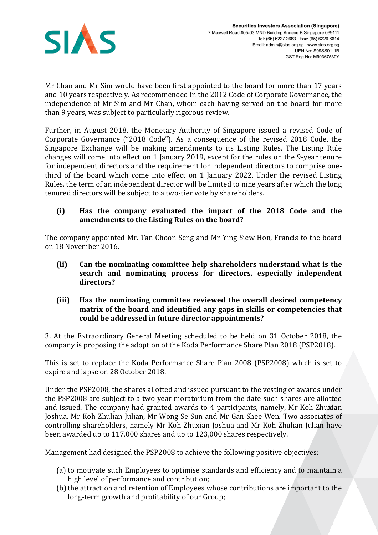

Mr Chan and Mr Sim would have been first appointed to the board for more than 17 years and 10 years respectively. As recommended in the 2012 Code of Corporate Governance, the independence of Mr Sim and Mr Chan, whom each having served on the board for more than 9 years, was subject to particularly rigorous review.

Further, in August 2018, the Monetary Authority of Singapore issued a revised Code of Corporate Governance ("2018 Code"). As a consequence of the revised 2018 Code, the Singapore Exchange will be making amendments to its Listing Rules. The Listing Rule changes will come into effect on 1 January 2019, except for the rules on the 9-year tenure for independent directors and the requirement for independent directors to comprise onethird of the board which come into effect on 1 January 2022. Under the revised Listing Rules, the term of an independent director will be limited to nine years after which the long tenured directors will be subject to a two-tier vote by shareholders.

## **(i) Has the company evaluated the impact of the 2018 Code and the amendments to the Listing Rules on the board?**

The company appointed Mr. Tan Choon Seng and Mr Ying Siew Hon, Francis to the board on 18 November 2016.

- **(ii) Can the nominating committee help shareholders understand what is the search and nominating process for directors, especially independent directors?**
- **(iii) Has the nominating committee reviewed the overall desired competency matrix of the board and identified any gaps in skills or competencies that could be addressed in future director appointments?**

3. At the Extraordinary General Meeting scheduled to be held on 31 October 2018, the company is proposing the adoption of the Koda Performance Share Plan 2018 (PSP2018).

This is set to replace the Koda Performance Share Plan 2008 (PSP2008) which is set to expire and lapse on 28 October 2018.

Under the PSP2008, the shares allotted and issued pursuant to the vesting of awards under the PSP2008 are subject to a two year moratorium from the date such shares are allotted and issued. The company had granted awards to 4 participants, namely, Mr Koh Zhuxian Joshua, Mr Koh Zhulian Julian, Mr Wong Se Sun and Mr Gan Shee Wen. Two associates of controlling shareholders, namely Mr Koh Zhuxian Joshua and Mr Koh Zhulian Julian have been awarded up to 117,000 shares and up to 123,000 shares respectively.

Management had designed the PSP2008 to achieve the following positive objectives:

- (a) to motivate such Employees to optimise standards and efficiency and to maintain a high level of performance and contribution;
- (b) the attraction and retention of Employees whose contributions are important to the long-term growth and profitability of our Group;